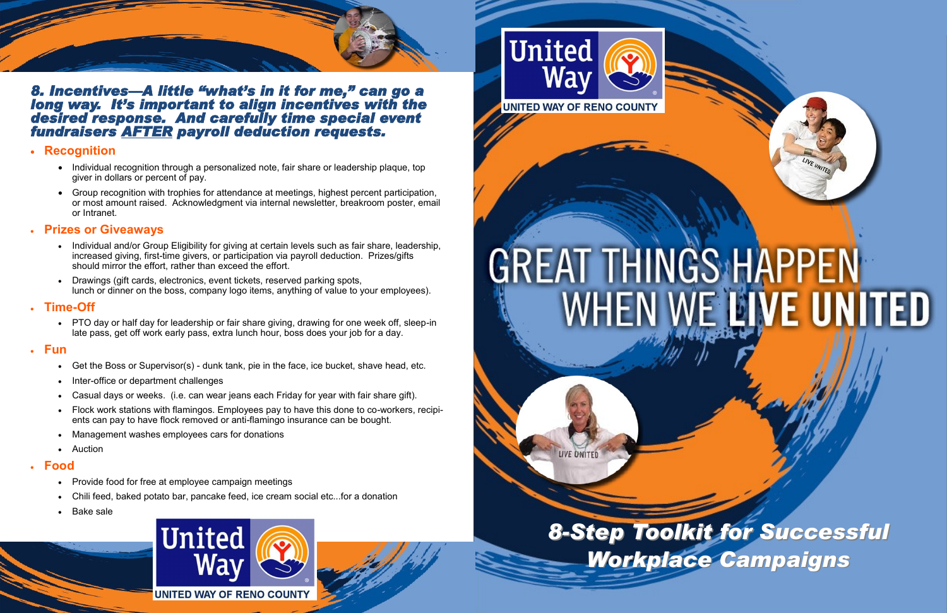



*8. Incentives—A little "what's in it for me," can go a long way. It's important to align incentives with the desired response. And carefully time special event fundraisers AFTER payroll deduction requests.* 

# **Recognition**

- Individual recognition through a personalized note, fair share or leadership plaque, top giver in dollars or percent of pay.
- Group recognition with trophies for attendance at meetings, highest percent participation, or most amount raised. Acknowledgment via internal newsletter, breakroom poster, email or Intranet.

# **Prizes or Giveaways**

- Individual and/or Group Eligibility for giving at certain levels such as fair share, leadership, increased giving, first-time givers, or participation via payroll deduction. Prizes/gifts should mirror the effort, rather than exceed the effort.
- Drawings (gift cards, electronics, event tickets, reserved parking spots, lunch or dinner on the boss, company logo items, anything of value to your employees).

# **Time-Off**

 PTO day or half day for leadership or fair share giving, drawing for one week off, sleep-in late pass, get off work early pass, extra lunch hour, boss does your job for a day.

## **Fun**

- Get the Boss or Supervisor(s) dunk tank, pie in the face, ice bucket, shave head, etc.
- Inter-office or department challenges
- Casual days or weeks. (i.e. can wear jeans each Friday for year with fair share gift).
- Flock work stations with flamingos. Employees pay to have this done to co-workers, recipients can pay to have flock removed or anti-flamingo insurance can be bought.
- Management washes employees cars for donations
- Auction

# **Food**

- Provide food for free at employee campaign meetings
- Chili feed, baked potato bar, pancake feed, ice cream social etc...for a donation
- Bake sale





# GREAT THINGS HAPPEN<br>WHEN WE LIVE UNITED

**LIVE UNITED**